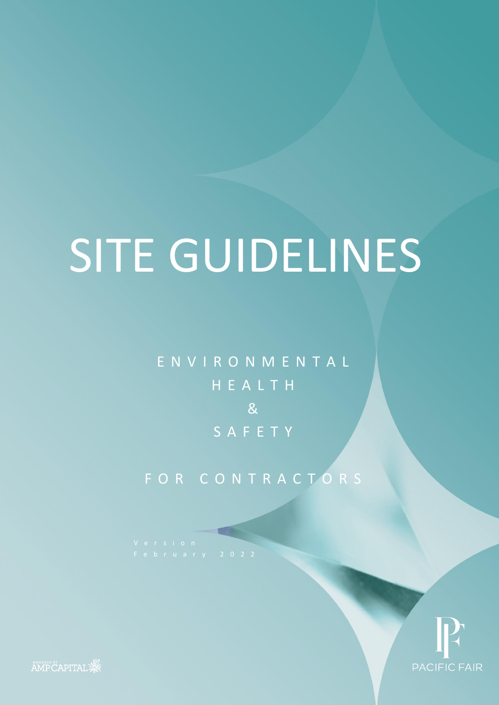E N V I R O N M E N T A L H E A L T H  $8<sup>1</sup>$ S A F E T Y

FOR CONTRACTORS



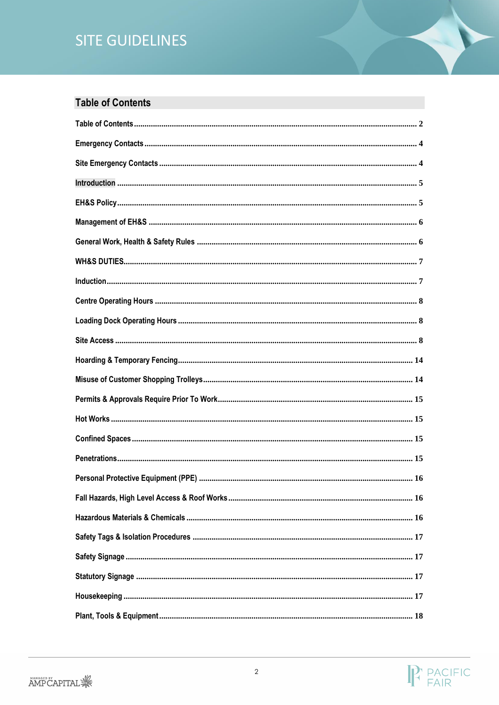# <span id="page-1-0"></span>**Table of Contents**

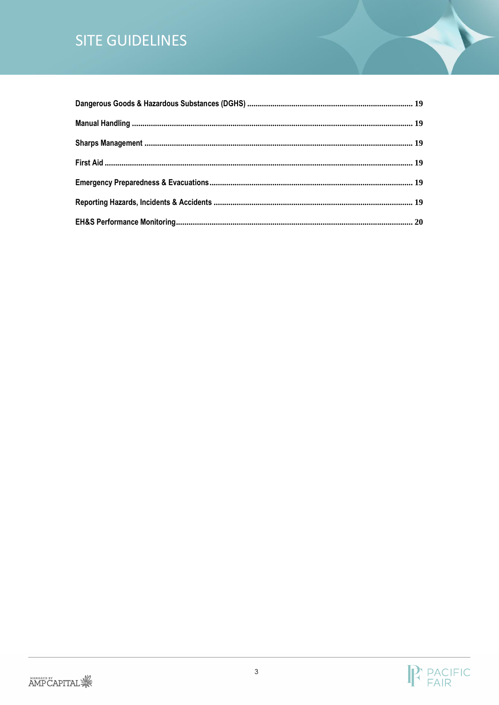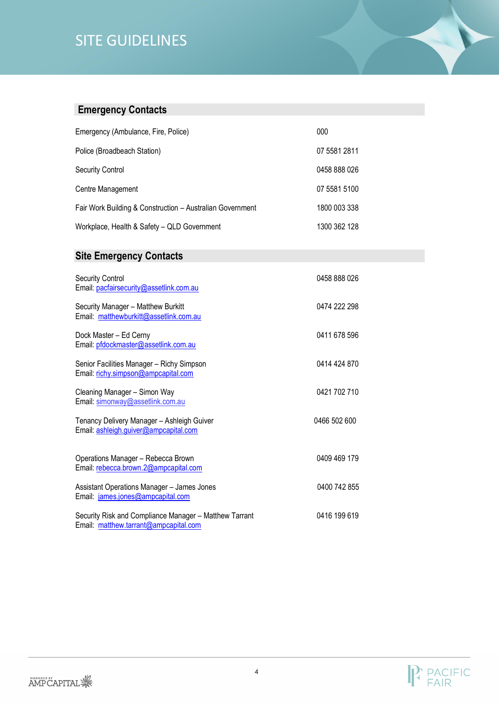# <span id="page-3-0"></span>**Emergency Contacts**

| Emergency (Ambulance, Fire, Police)                       | 000          |
|-----------------------------------------------------------|--------------|
| Police (Broadbeach Station)                               | 07 5581 2811 |
| <b>Security Control</b>                                   | 0458 888 026 |
| Centre Management                                         | 07 5581 5100 |
| Fair Work Building & Construction - Australian Government | 1800 003 338 |
| Workplace, Health & Safety - QLD Government               | 1300 362 128 |

# <span id="page-3-1"></span>**Site Emergency Contacts**

| Security Control<br>Email: pacfairsecurity@assetlink.com.au                                     | 0458 888 026 |
|-------------------------------------------------------------------------------------------------|--------------|
| Security Manager - Matthew Burkitt<br>Email: matthewburkitt@assetlink.com.au                    | 0474 222 298 |
| Dock Master - Ed Cerny<br>Email: pfdockmaster@assetlink.com.au                                  | 0411 678 596 |
| Senior Facilities Manager - Richy Simpson<br>Email: richy.simpson@ampcapital.com                | 0414 424 870 |
| Cleaning Manager - Simon Way<br>Email: simonway@assetlink.com.au                                | 0421 702 710 |
| Tenancy Delivery Manager - Ashleigh Guiver<br>Email: ashleigh.guiver@ampcapital.com             | 0466 502 600 |
| Operations Manager - Rebecca Brown<br>Email: rebecca.brown.2@ampcapital.com                     | 0409 469 179 |
| Assistant Operations Manager - James Jones<br>Email: james.jones@ampcapital.com                 | 0400 742 855 |
| Security Risk and Compliance Manager - Matthew Tarrant<br>Email: matthew.tarrant@ampcapital.com | 0416 199 619 |

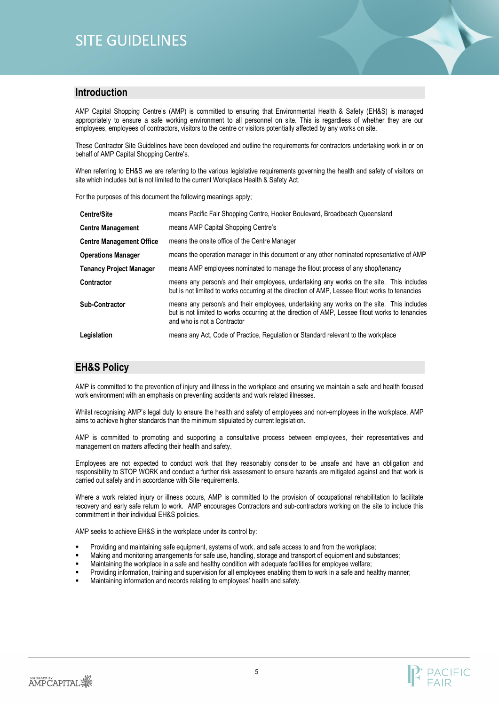

### <span id="page-4-0"></span>**Introduction**

AMP Capital Shopping Centre's (AMP) is committed to ensuring that Environmental Health & Safety (EH&S) is managed appropriately to ensure a safe working environment to all personnel on site. This is regardless of whether they are our employees, employees of contractors, visitors to the centre or visitors potentially affected by any works on site.

These Contractor Site Guidelines have been developed and outline the requirements for contractors undertaking work in or on behalf of AMP Capital Shopping Centre's.

When referring to EH&S we are referring to the various legislative requirements governing the health and safety of visitors on site which includes but is not limited to the current Workplace Health & Safety Act.

For the purposes of this document the following meanings apply;

| <b>Centre/Site</b>              | means Pacific Fair Shopping Centre, Hooker Boulevard, Broadbeach Queensland                                                                                                                                                |
|---------------------------------|----------------------------------------------------------------------------------------------------------------------------------------------------------------------------------------------------------------------------|
| <b>Centre Management</b>        | means AMP Capital Shopping Centre's                                                                                                                                                                                        |
| <b>Centre Management Office</b> | means the onsite office of the Centre Manager                                                                                                                                                                              |
| <b>Operations Manager</b>       | means the operation manager in this document or any other nominated representative of AMP                                                                                                                                  |
| <b>Tenancy Project Manager</b>  | means AMP employees nominated to manage the fitout process of any shop/tenancy                                                                                                                                             |
| <b>Contractor</b>               | means any person/s and their employees, undertaking any works on the site. This includes<br>but is not limited to works occurring at the direction of AMP, Lessee fitout works to tenancies                                |
| <b>Sub-Contractor</b>           | means any person/s and their employees, undertaking any works on the site. This includes<br>but is not limited to works occurring at the direction of AMP, Lessee fitout works to tenancies<br>and who is not a Contractor |
| Legislation                     | means any Act, Code of Practice, Regulation or Standard relevant to the workplace                                                                                                                                          |

### <span id="page-4-1"></span>**EH&S Policy**

AMP is committed to the prevention of injury and illness in the workplace and ensuring we maintain a safe and health focused work environment with an emphasis on preventing accidents and work related illnesses.

Whilst recognising AMP's legal duty to ensure the health and safety of employees and non-employees in the workplace, AMP aims to achieve higher standards than the minimum stipulated by current legislation.

AMP is committed to promoting and supporting a consultative process between employees, their representatives and management on matters affecting their health and safety.

Employees are not expected to conduct work that they reasonably consider to be unsafe and have an obligation and responsibility to STOP WORK and conduct a further risk assessment to ensure hazards are mitigated against and that work is carried out safely and in accordance with Site requirements.

Where a work related injury or illness occurs, AMP is committed to the provision of occupational rehabilitation to facilitate recovery and early safe return to work. AMP encourages Contractors and sub-contractors working on the site to include this commitment in their individual EH&S policies.

AMP seeks to achieve EH&S in the workplace under its control by:

- Providing and maintaining safe equipment, systems of work, and safe access to and from the workplace;
- Making and monitoring arrangements for safe use, handling, storage and transport of equipment and substances;
- Maintaining the workplace in a safe and healthy condition with adequate facilities for employee welfare;
- Providing information, training and supervision for all employees enabling them to work in a safe and healthy manner;
- Maintaining information and records relating to employees' health and safety.

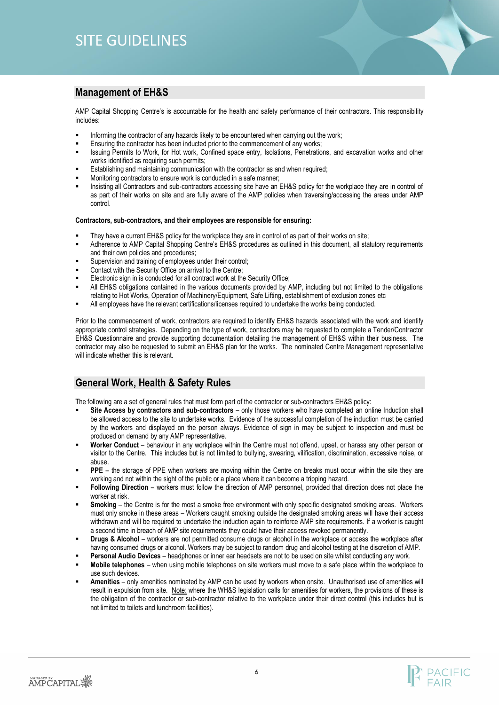### <span id="page-5-0"></span>**Management of EH&S**

AMP Capital Shopping Centre's is accountable for the health and safety performance of their contractors. This responsibility includes:

- Informing the contractor of any hazards likely to be encountered when carrying out the work;
- Ensuring the contractor has been inducted prior to the commencement of any works;
- Issuing Permits to Work, for Hot work, Confined space entry, Isolations, Penetrations, and excavation works and other works identified as requiring such permits;
- Establishing and maintaining communication with the contractor as and when required;
- Monitoring contractors to ensure work is conducted in a safe manner;
- Insisting all Contractors and sub-contractors accessing site have an EH&S policy for the workplace they are in control of as part of their works on site and are fully aware of the AMP policies when traversing/accessing the areas under AMP control.

#### **Contractors, sub-contractors, and their employees are responsible for ensuring:**

- They have a current EH&S policy for the workplace they are in control of as part of their works on site;
- Adherence to AMP Capital Shopping Centre's EH&S procedures as outlined in this document, all statutory requirements and their own policies and procedures;
- Supervision and training of employees under their control;
- Contact with the Security Office on arrival to the Centre;
- Electronic sign in is conducted for all contract work at the Security Office;
- All EH&S obligations contained in the various documents provided by AMP, including but not limited to the obligations relating to Hot Works, Operation of Machinery/Equipment, Safe Lifting, establishment of exclusion zones etc
- All employees have the relevant certifications/licenses required to undertake the works being conducted.

Prior to the commencement of work, contractors are required to identify EH&S hazards associated with the work and identify appropriate control strategies. Depending on the type of work, contractors may be requested to complete a Tender/Contractor EH&S Questionnaire and provide supporting documentation detailing the management of EH&S within their business. The contractor may also be requested to submit an EH&S plan for the works. The nominated Centre Management representative will indicate whether this is relevant.

### <span id="page-5-1"></span>**General Work, Health & Safety Rules**

The following are a set of general rules that must form part of the contractor or sub-contractors EH&S policy:

- **Site Access by contractors and sub-contractors** only those workers who have completed an online Induction shall be allowed access to the site to undertake works. Evidence of the successful completion of the induction must be carried by the workers and displayed on the person always. Evidence of sign in may be subject to inspection and must be produced on demand by any AMP representative.
- Worker Conduct behaviour in any workplace within the Centre must not offend, upset, or harass any other person or visitor to the Centre. This includes but is not limited to bullying, swearing, vilification, discrimination, excessive noise, or abuse.
- **PPE** the storage of PPE when workers are moving within the Centre on breaks must occur within the site they are working and not within the sight of the public or a place where it can become a tripping hazard.
- Following Direction workers must follow the direction of AMP personnel, provided that direction does not place the worker at risk.
- **Smoking** the Centre is for the most a smoke free environment with only specific designated smoking areas. Workers must only smoke in these areas – Workers caught smoking outside the designated smoking areas will have their access withdrawn and will be required to undertake the induction again to reinforce AMP site requirements. If a worker is caught a second time in breach of AMP site requirements they could have their access revoked permanently.
- **Drugs & Alcohol** workers are not permitted consume drugs or alcohol in the workplace or access the workplace after having consumed drugs or alcohol. Workers may be subject to random drug and alcohol testing at the discretion of AMP.
- **Personal Audio Devices** headphones or inner ear headsets are not to be used on site whilst conducting any work.
- **Mobile telephones**  when using mobile telephones on site workers must move to a safe place within the workplace to use such devices.
- Amenities only amenities nominated by AMP can be used by workers when onsite. Unauthorised use of amenities will result in expulsion from site. Note: where the WH&S legislation calls for amenities for workers, the provisions of these is the obligation of the contractor or sub-contractor relative to the workplace under their direct control (this includes but is not limited to toilets and lunchroom facilities).

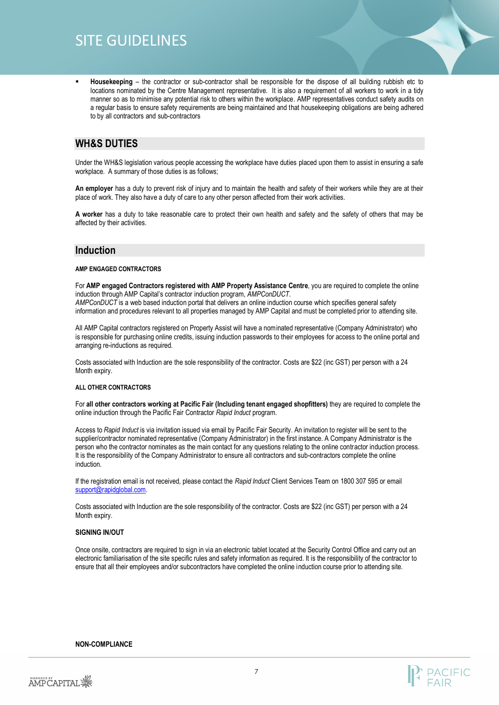▪ **Housekeeping** – the contractor or sub-contractor shall be responsible for the dispose of all building rubbish etc to locations nominated by the Centre Management representative. It is also a requirement of all workers to work in a tidy manner so as to minimise any potential risk to others within the workplace. AMP representatives conduct safety audits on a regular basis to ensure safety requirements are being maintained and that housekeeping obligations are being adhered to by all contractors and sub-contractors

### <span id="page-6-0"></span>**WH&S DUTIES**

Under the WH&S legislation various people accessing the workplace have duties placed upon them to assist in ensuring a safe workplace. A summary of those duties is as follows;

**An employer** has a duty to prevent risk of injury and to maintain the health and safety of their workers while they are at their place of work. They also have a duty of care to any other person affected from their work activities.

**A worker** has a duty to take reasonable care to protect their own health and safety and the safety of others that may be affected by their activities.

### <span id="page-6-1"></span>**Induction**

#### **AMP ENGAGED CONTRACTORS**

For **AMP engaged Contractors registered with AMP Property Assistance Centre**, you are required to complete the online induction through AMP Capital's contractor induction program, *AMPConDUCT. AMPConDUCT* is a web based induction portal that delivers an online induction course which specifies general safety information and procedures relevant to all properties managed by AMP Capital and must be completed prior to attending site.

All AMP Capital contractors registered on Property Assist will have a nominated representative (Company Administrator) who is responsible for purchasing online credits, issuing induction passwords to their employees for access to the online portal and arranging re-inductions as required.

Costs associated with Induction are the sole responsibility of the contractor. Costs are \$22 (inc GST) per person with a 24 Month expiry.

#### **ALL OTHER CONTRACTORS**

For **all other contractors working at Pacific Fair (Including tenant engaged shopfitters)** they are required to complete the online induction through the Pacific Fair Contractor *Rapid Induct* program.

Access to *Rapid Induct* is via invitation issued via email by Pacific Fair Security. An invitation to register will be sent to the supplier/contractor nominated representative (Company Administrator) in the first instance. A Company Administrator is the person who the contractor nominates as the main contact for any questions relating to the online contractor induction process. It is the responsibility of the Company Administrator to ensure all contractors and sub-contractors complete the online induction.

If the registration email is not received, please contact the *Rapid Induct* Client Services Team on 1800 307 595 or email [support@rapidglobal.com.](mailto:support@rapidglobal.com)

Costs associated with Induction are the sole responsibility of the contractor. Costs are \$22 (inc GST) per person with a 24 Month expiry.

#### **SIGNING IN/OUT**

Once onsite, contractors are required to sign in via an electronic tablet located at the Security Control Office and carry out an electronic familiarisation of the site specific rules and safety information as required. It is the responsibility of the contractor to ensure that all their employees and/or subcontractors have completed the online induction course prior to attending site.

#### **NON-COMPLIANCE**

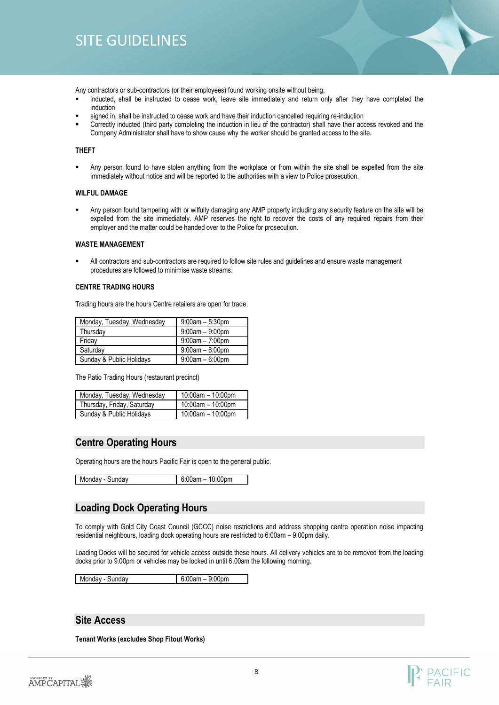

Any contractors or sub-contractors (or their employees) found working onsite without being;

- inducted, shall be instructed to cease work, leave site immediately and return only after they have completed the induction
- signed in, shall be instructed to cease work and have their induction cancelled requiring re-induction
- Correctly inducted (third party completing the induction in lieu of the contractor) shall have their access revoked and the Company Administrator shall have to show cause why the worker should be granted access to the site.

#### **THEFT**

Any person found to have stolen anything from the workplace or from within the site shall be expelled from the site immediately without notice and will be reported to the authorities with a view to Police prosecution.

#### **WILFUL DAMAGE**

Any person found tampering with or wilfully damaging any AMP property including any security feature on the site will be expelled from the site immediately. AMP reserves the right to recover the costs of any required repairs from their employer and the matter could be handed over to the Police for prosecution.

#### **WASTE MANAGEMENT**

All contractors and sub-contractors are required to follow site rules and guidelines and ensure waste management procedures are followed to minimise waste streams.

#### **CENTRE TRADING HOURS**

Trading hours are the hours Centre retailers are open for trade.

| Monday, Tuesday, Wednesday | $9:00$ am $-5:30$ pm |
|----------------------------|----------------------|
| Thursday                   | $9:00am - 9:00pm$    |
| Friday                     | $9:00$ am $-7:00$ pm |
| Saturday                   | $9:00$ am $-6:00$ pm |
| Sunday & Public Holidays   | $9:00am - 6:00pm$    |

The Patio Trading Hours (restaurant precinct)

| Monday, Tuesday, Wednesday | 10:00am - 10:00pm      |
|----------------------------|------------------------|
| Thursday, Friday, Saturday | $10:00$ am $-10:00$ pm |
| Sunday & Public Holidays   | $10:00$ am $-10:00$ pm |

### <span id="page-7-0"></span>**Centre Operating Hours**

Operating hours are the hours Pacific Fair is open to the general public.

Monday - Sunday 6:00am – 10:00pm

### <span id="page-7-1"></span>**Loading Dock Operating Hours**

To comply with Gold City Coast Council (GCCC) noise restrictions and address shopping centre operation noise impacting residential neighbours, loading dock operating hours are restricted to 6:00am – 9:00pm daily.

Loading Docks will be secured for vehicle access outside these hours. All delivery vehicles are to be removed from the loading docks prior to 9.00pm or vehicles may be locked in until 6.00am the following morning.

Monday - Sunday 6:00am – 9:00pm

### <span id="page-7-2"></span>**Site Access**

**Tenant Works (excludes Shop Fitout Works)**

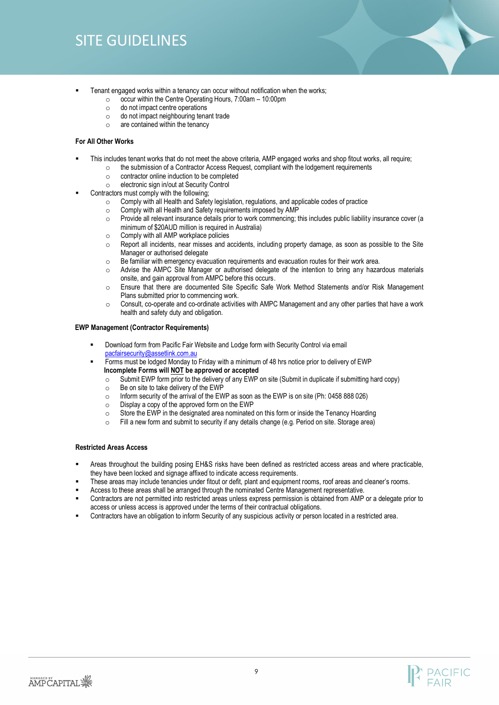- 
- Tenant engaged works within a tenancy can occur without notification when the works;
	- $\degree$  occur within the Centre Operating Hours, 7:00am 10:00pm
	- o do not impact centre operations
	- o do not impact neighbouring tenant trade
	- o are contained within the tenancy

#### **For All Other Works**

- This includes tenant works that do not meet the above criteria, AMP engaged works and shop fitout works, all require;
	- o the submission of a Contractor Access Request, compliant with the lodgement requirements
	- o contractor online induction to be completed
	- o electronic sign in/out at Security Control
- Contractors must comply with the following;
	- Comply with all Health and Safety legislation, regulations, and applicable codes of practice
	- o Comply with all Health and Safety requirements imposed by AMP
	- o Provide all relevant insurance details prior to work commencing; this includes public liability insurance cover (a minimum of \$20AUD million is required in Australia)
	- o Comply with all AMP workplace policies
	- o Report all incidents, near misses and accidents, including property damage, as soon as possible to the Site Manager or authorised delegate
	- o Be familiar with emergency evacuation requirements and evacuation routes for their work area.
	- Advise the AMPC Site Manager or authorised delegate of the intention to bring any hazardous materials onsite, and gain approval from AMPC before this occurs.
	- o Ensure that there are documented Site Specific Safe Work Method Statements and/or Risk Management Plans submitted prior to commencing work.
	- o Consult, co-operate and co-ordinate activities with AMPC Management and any other parties that have a work health and safety duty and obligation.

#### **EWP Management (Contractor Requirements)**

- Download form from Pacific Fair Website and Lodge form with Security Control via email [pacfairsecurity@assetlink.com.au](mailto:pacfairsecurity@assetlink.com.au)
- Forms must be lodged Monday to Friday with a minimum of 48 hrs notice prior to delivery of EWP **Incomplete Forms will NOT be approved or accepted**
	- o Submit EWP form prior to the delivery of any EWP on site (Submit in duplicate if submitting hard copy)
	- o Be on site to take delivery of the EWP
	- o Inform security of the arrival of the EWP as soon as the EWP is on site (Ph: 0458 888 026)
	- $\circ$  Display a copy of the approved form on the EWP
	- o Store the EWP in the designated area nominated on this form or inside the Tenancy Hoarding
	- o Fill a new form and submit to security if any details change (e.g. Period on site. Storage area)

#### **Restricted Areas Access**

- Areas throughout the building posing EH&S risks have been defined as restricted access areas and where practicable, they have been locked and signage affixed to indicate access requirements.
- These areas may include tenancies under fitout or defit, plant and equipment rooms, roof areas and cleaner's rooms.
- Access to these areas shall be arranged through the nominated Centre Management representative.
- Contractors are not permitted into restricted areas unless express permission is obtained from AMP or a delegate prior to access or unless access is approved under the terms of their contractual obligations.
- Contractors have an obligation to inform Security of any suspicious activity or person located in a restricted area.

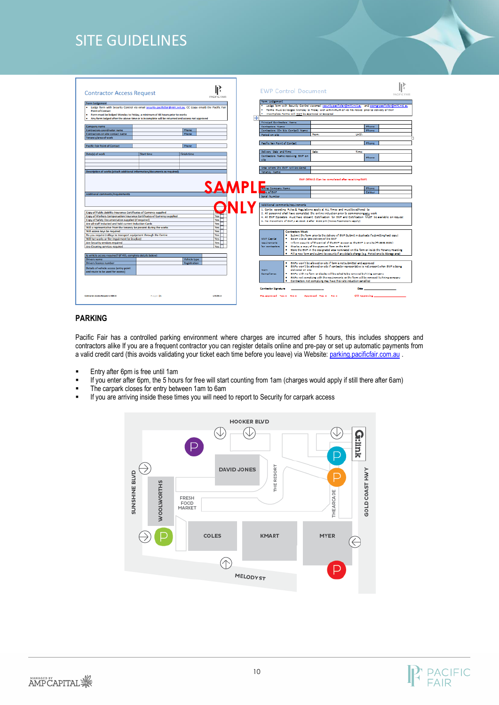| <b>Contractor Access Request</b>                                                                                                                                                                                                                                                                                                                        |                   |                     | PACIFIC FAIR     |   | <b>EWP Control Document</b>                         |                          |                                                                                                                |                                | PACIFIC FAIR |
|---------------------------------------------------------------------------------------------------------------------------------------------------------------------------------------------------------------------------------------------------------------------------------------------------------------------------------------------------------|-------------------|---------------------|------------------|---|-----------------------------------------------------|--------------------------|----------------------------------------------------------------------------------------------------------------|--------------------------------|--------------|
| <b>Form Lodgement</b><br>. Lodge form with Security Control via email security.pacificfair@mht.net.au. CC (copy email) the Pacific Fair                                                                                                                                                                                                                 |                   |                     |                  |   | Form Ledgement                                      |                          | . Lodge form with Security Control via email security pacificfair@mht.not.au and seemgr.pacificfair@mht.not.au |                                |              |
| <b>Point of Contact</b>                                                                                                                                                                                                                                                                                                                                 |                   |                     |                  |   |                                                     |                          | * Forms must be lodged Monday to Friday with a minimum of 48 hrs notice, prior to delivery of EWP              |                                |              |
| . Form must be lodged Monday to Friday, a minimum of 48 hours prior to works                                                                                                                                                                                                                                                                            |                   |                     |                  |   | . Incomplete forms will NOT be approved or accepted |                          |                                                                                                                |                                |              |
| . Any form lodged after the above time or is incomplete will be returned and access not approved                                                                                                                                                                                                                                                        |                   |                     |                  | 中 |                                                     |                          |                                                                                                                |                                |              |
|                                                                                                                                                                                                                                                                                                                                                         |                   |                     |                  |   | <b>Principal Contractors Name</b>                   |                          |                                                                                                                |                                |              |
| Company name                                                                                                                                                                                                                                                                                                                                            |                   |                     |                  |   | Contractors Name                                    |                          |                                                                                                                | Phone                          |              |
| <b>Contractors coordinator name</b>                                                                                                                                                                                                                                                                                                                     |                   | Phone               |                  |   | Contractors (On Site Contact) Name                  |                          |                                                                                                                | Phone                          |              |
| Contractors on site contact name                                                                                                                                                                                                                                                                                                                        |                   | Phone               |                  |   | Period on site                                      |                          | <b><i><u>Freeman</u></i></b>                                                                                   | <b>Unfill:</b>                 |              |
| Tenancy/area of work                                                                                                                                                                                                                                                                                                                                    |                   |                     |                  |   |                                                     |                          |                                                                                                                |                                |              |
|                                                                                                                                                                                                                                                                                                                                                         |                   |                     |                  |   |                                                     |                          |                                                                                                                |                                |              |
| <b>Pacific Fair Point of Contact</b>                                                                                                                                                                                                                                                                                                                    |                   | Phone               |                  |   | Pacific Fair Point of Contact                       |                          |                                                                                                                | Phone                          |              |
|                                                                                                                                                                                                                                                                                                                                                         |                   |                     |                  |   |                                                     |                          |                                                                                                                |                                |              |
| Date(s) of work                                                                                                                                                                                                                                                                                                                                         | <b>Start time</b> | <b>Finish time</b>  |                  |   | Odivoy, Date and Time                               |                          | <b>Date:</b>                                                                                                   | Time:                          |              |
|                                                                                                                                                                                                                                                                                                                                                         |                   |                     |                  |   | Contractors Name receiving EWP on                   |                          |                                                                                                                | Phone                          |              |
|                                                                                                                                                                                                                                                                                                                                                         |                   |                     |                  |   | site.                                               |                          |                                                                                                                |                                |              |
|                                                                                                                                                                                                                                                                                                                                                         |                   |                     |                  |   |                                                     |                          |                                                                                                                |                                |              |
|                                                                                                                                                                                                                                                                                                                                                         |                   |                     |                  |   | Area where the EWP will be stored                   |                          |                                                                                                                |                                |              |
| Description of works (attach additional information/documents as required)                                                                                                                                                                                                                                                                              |                   |                     |                  |   | Tonancy Name                                        |                          |                                                                                                                |                                |              |
|                                                                                                                                                                                                                                                                                                                                                         |                   |                     | SAI              |   | <b>Bung Company Name</b><br>ic of EWP               |                          |                                                                                                                | Phone:<br>Colour               |              |
|                                                                                                                                                                                                                                                                                                                                                         |                   |                     |                  |   | Spiel Number                                        |                          |                                                                                                                |                                |              |
|                                                                                                                                                                                                                                                                                                                                                         |                   |                     |                  |   |                                                     |                          |                                                                                                                |                                |              |
| Additional comments/requirements                                                                                                                                                                                                                                                                                                                        |                   |                     |                  |   | Additional commonts/requirements                    |                          |                                                                                                                |                                |              |
| Copy of Public Liability Insurance Certificates of Currency supplied                                                                                                                                                                                                                                                                                    |                   |                     |                  |   |                                                     |                          | 1. Contro operating Rules & Regulations apply at ALL Times and must be adhered to                              |                                |              |
| Copy of Workers Compensation Insurance Certificates of Currency supplied                                                                                                                                                                                                                                                                                |                   |                     | Yes              |   |                                                     |                          | 2. All economic shall have completed the poline induction prior to commencing any work                         |                                |              |
| Copy of Safety Documentation supplied (if required)                                                                                                                                                                                                                                                                                                     |                   |                     | Yes              |   |                                                     |                          | 4. All EWP Operators must have relevant Certification for EWP and Certification MUST be available on request   |                                |              |
|                                                                                                                                                                                                                                                                                                                                                         |                   |                     | Yes              |   |                                                     |                          | 5. No movement of EWP.s at Dock 3 after 9.00 pm (Noise Restrictions apply)                                     |                                |              |
|                                                                                                                                                                                                                                                                                                                                                         |                   |                     | Yes <sup>1</sup> |   |                                                     |                          |                                                                                                                |                                |              |
|                                                                                                                                                                                                                                                                                                                                                         |                   |                     | Yes              |   |                                                     | <b>Contractors Must:</b> |                                                                                                                |                                |              |
|                                                                                                                                                                                                                                                                                                                                                         |                   |                     | Yes              |   |                                                     |                          | . Submit the form prior to the delivery of EWP (Submit in duplicate if submitting hard copy)                   |                                |              |
|                                                                                                                                                                                                                                                                                                                                                         |                   |                     | Yes              |   | AMP Carital                                         |                          | . Be on site to take delivery of the EWP                                                                       |                                |              |
|                                                                                                                                                                                                                                                                                                                                                         |                   |                     | Yes              |   | requirements                                        |                          | . Inform security of the arrival of the EWP assoon as the EWP is on site (Philosos 5121)                       |                                |              |
| Are all staff inducted and hold current Induction Cards<br>Will a representative from the tenancy be present during the works<br>Will access keys be required<br>Do you require trolleys to transport equipment through the Centre<br>Will hot works or fire impairment be involved<br>Are Security services required<br>Are Cleaning services required |                   |                     | Yes              |   | for contractors.                                    |                          | . Display a copy of the approved form on the EWP                                                               |                                |              |
|                                                                                                                                                                                                                                                                                                                                                         |                   |                     |                  |   |                                                     |                          | . Store the EWP in the designated area nominated on this form or irside the Tenancy Hoarding                   |                                |              |
| Is vehicle access required? (if YES, complete details below)                                                                                                                                                                                                                                                                                            |                   |                     |                  |   |                                                     |                          | . Fill a new form and submit to security if any details charge (e.g. Period on site. Storage area)             |                                |              |
| <b>Drivers name</b>                                                                                                                                                                                                                                                                                                                                     |                   | Vehicle type        |                  |   |                                                     |                          |                                                                                                                |                                |              |
| <b>Drivers licence number</b>                                                                                                                                                                                                                                                                                                                           |                   | <b>Registration</b> |                  |   |                                                     |                          | . EW's won't be allowed on site if form is not submitted and approved                                          |                                |              |
|                                                                                                                                                                                                                                                                                                                                                         |                   |                     |                  |   |                                                     |                          | . EWPs won't be allowed on site if contractor representative is not present when EWP is being                  |                                |              |
| Details of vehicle access (entry point                                                                                                                                                                                                                                                                                                                  |                   |                     |                  |   | Non-                                                | delivered on site        |                                                                                                                |                                |              |
| and route to be used for access)                                                                                                                                                                                                                                                                                                                        |                   |                     |                  |   | Comoliance                                          |                          | . EW?s with no form on display will be asked to be removed by hiring company                                   |                                |              |
|                                                                                                                                                                                                                                                                                                                                                         |                   |                     |                  |   |                                                     |                          | . EWPs not complying with the requirements on the form will be removed by hiring company                       |                                |              |
|                                                                                                                                                                                                                                                                                                                                                         |                   |                     |                  |   |                                                     |                          | . Contractors not complying may have their site induction cancelled                                            |                                |              |
|                                                                                                                                                                                                                                                                                                                                                         |                   |                     |                  |   |                                                     |                          |                                                                                                                |                                |              |
|                                                                                                                                                                                                                                                                                                                                                         |                   |                     |                  |   | <b>Contractor Signature</b>                         |                          |                                                                                                                | Date __                        |              |
| Contractor Arress Benuest u150814                                                                                                                                                                                                                                                                                                                       | Page 11           |                     | v15.08.14        |   | Pre-eporoved Yesio Noici - Aporoved Yesio Noici     |                          |                                                                                                                | S/O Approving <b>Committee</b> |              |

### **PARKING**

Pacific Fair has a controlled parking environment where charges are incurred after 5 hours, this includes shoppers and contractors alike If you are a frequent contractor you can register details online and pre-pay or set up automatic payments from a valid credit card (this avoids validating your ticket each time before you leave) via Website[: parking.pacificfair.com.au](https://parking.pacificfair.com.au/public/home.htm) .

- **Entry after 6pm is free until 1am**
- If you enter after 6pm, the 5 hours for free will start counting from 1am (charges would apply if still there after 6am)
- The carpark closes for entry between 1am to 6am
- If you are arriving inside these times you will need to report to Security for carpark access

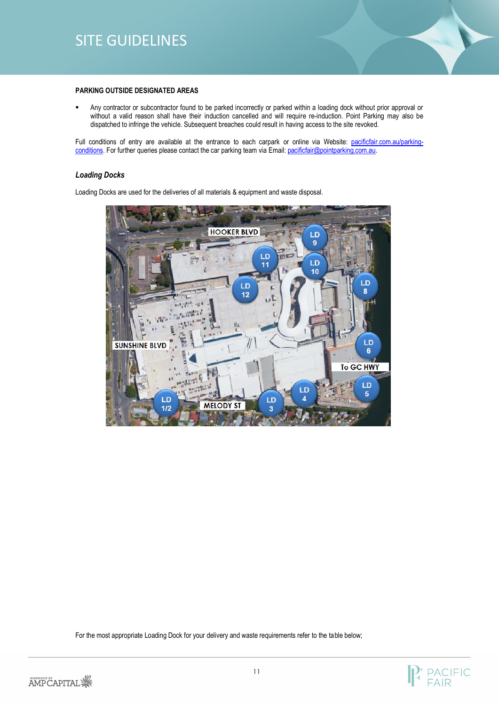

#### **PARKING OUTSIDE DESIGNATED AREAS**

▪ Any contractor or subcontractor found to be parked incorrectly or parked within a loading dock without prior approval or without a valid reason shall have their induction cancelled and will require re-induction. Point Parking may also be dispatched to infringe the vehicle. Subsequent breaches could result in having access to the site revoked.

Full conditions of entry are available at the entrance to each carpark or online via Website: [pacificfair.com.au/parking](https://www.pacificfair.com.au/parking-conditions)[conditions.](https://www.pacificfair.com.au/parking-conditions) For further queries please contact the car parking team via Email: pacificfair@pointparking.com.au.

#### *Loading Docks*

Loading Docks are used for the deliveries of all materials & equipment and waste disposal.



For the most appropriate Loading Dock for your delivery and waste requirements refer to the table below;



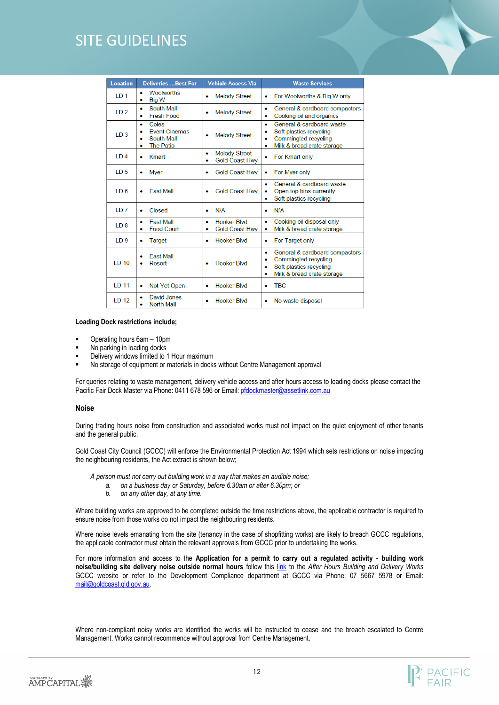| Location          | <b>DeliveriesBest For</b>                                                                  | <b>Vehicle Access Via</b>                                       | <b>Waste Services</b>                                                                                                               |
|-------------------|--------------------------------------------------------------------------------------------|-----------------------------------------------------------------|-------------------------------------------------------------------------------------------------------------------------------------|
| LD <sub>1</sub>   | <b>Woolworths</b><br>۰<br><b>Big W</b><br>۰                                                | <b>Melody Street</b><br>$\bullet$                               | For Woolworths & Big W only<br>۰                                                                                                    |
| ID2               | <b>South Mall</b><br>۰<br><b>Fresh Food</b><br>۰                                           | <b>Melody Street</b><br>٠                                       | General & cardboard compactors<br>۰<br>Cooking oil and organics                                                                     |
| LD <sub>3</sub>   | Coles<br>۰<br><b>Event Cinemas</b><br>۰<br><b>South Mall</b><br>۰<br><b>The Patio</b><br>۰ | <b>Melody Street</b>                                            | General & cardboard waste<br>٠<br>Soft plastics recycling<br>۰<br>Commingled recycling<br>Milk & bread crate storage<br>۰           |
| ID4               | Kmart<br>۰                                                                                 | <b>Melody Street</b><br>$\bullet$<br><b>Gold Coast Hwy</b><br>٠ | For Kmart only<br>۰                                                                                                                 |
| 1D <sub>5</sub>   | <b>Myer</b><br>۰                                                                           | <b>Gold Coast Hwv</b><br>$\bullet$                              | For Mver only<br>۰                                                                                                                  |
| 1D6               | <b>Fast Mall</b><br>۰                                                                      | <b>Gold Coast Hwv</b><br>٠                                      | General & cardboard waste<br>۰<br>Open top bins currently<br>Soft plastics recycling<br>۰                                           |
| LD <sub>7</sub>   | Closed<br>۰                                                                                | N/A<br>٠                                                        | N/A<br>٠                                                                                                                            |
| ID8               | <b>Fast Mall</b><br>۰<br><b>Food Court</b><br>٠                                            | <b>Hooker Blvd</b><br>٠<br><b>Gold Coast Hwy</b><br>٠           | Cooking oil disposal only<br>۰<br>Milk & bread crate storage<br>۰                                                                   |
| LD <sub>9</sub>   | Target<br>۰                                                                                | <b>Hooker Blvd</b><br>٠                                         | For Target only<br>۰                                                                                                                |
| <b>LD 10</b>      | <b>Fast Mall</b><br>Resort<br>۰                                                            | <b>Hooker Blvd</b><br>٠                                         | General & cardboard compactors<br>۰<br>Commingled recycling<br>٠<br>Soft plastics recycling<br>٠<br>Milk & bread crate storage<br>٠ |
| LD 11             | Not Yet Open<br>۰                                                                          | <b>Hooker Blvd</b><br>$\bullet$                                 | <b>TBC</b><br>٠                                                                                                                     |
| 1 <sub>D</sub> 12 | <b>David Jones</b><br><b>North Mall</b><br>۰                                               | <b>Hooker Blvd</b><br>٠                                         | No waste disposal<br>۰                                                                                                              |

#### **Loading Dock restrictions include;**

- Operating hours 6am 10pm
- No parking in loading docks
- Delivery windows limited to 1 Hour maximum
- No storage of equipment or materials in docks without Centre Management approval

For queries relating to waste management, delivery vehicle access and after hours access to loading docks please contact the Pacific Fair Dock Master via Phone: 0411 678 596 or Email[: pfdockmaster@assetlink.com.au](mailto:pfdockmaster@assetlink.com.au)

#### **Noise**

During trading hours noise from construction and associated works must not impact on the quiet enjoyment of other tenants and the general public.

Gold Coast City Council (GCCC) will enforce the Environmental Protection Act 1994 which sets restrictions on noise impacting the neighbouring residents, the Act extract is shown below;

*A person must not carry out building work in a way that makes an audible noise;*

- *a. on a business day or Saturday, before 6.30am or after 6.30pm; or*
- *b. on any other day, at any time.*

Where building works are approved to be completed outside the time restrictions above, the applicable contractor is required to ensure noise from those works do not impact the neighbouring residents.

Where noise levels emanating from the site (tenancy in the case of shopfitting works) are likely to breach GCCC regulations, the applicable contractor must obtain the relevant approvals from GCCC prior to undertaking the works.

For more information and access to the **Application for a permit to carry out a regulated activity - building work noise/building site delivery noise outside normal hours** follow this [link](http://www.goldcoast.qld.gov.au/planning-and-building/after-hours-building-noise-30656.html) to the *After Hours Building and Delivery Works* GCCC website or refer to the Development Compliance department at GCCC via Phone: 07 5667 5978 or Email: [mail@goldcoast.qld.gov.au.](mailto:mail@goldcoast.qld.gov.au)

Where non-compliant noisy works are identified the works will be instructed to cease and the breach escalated to Centre Management. Works cannot recommence without approval from Centre Management.

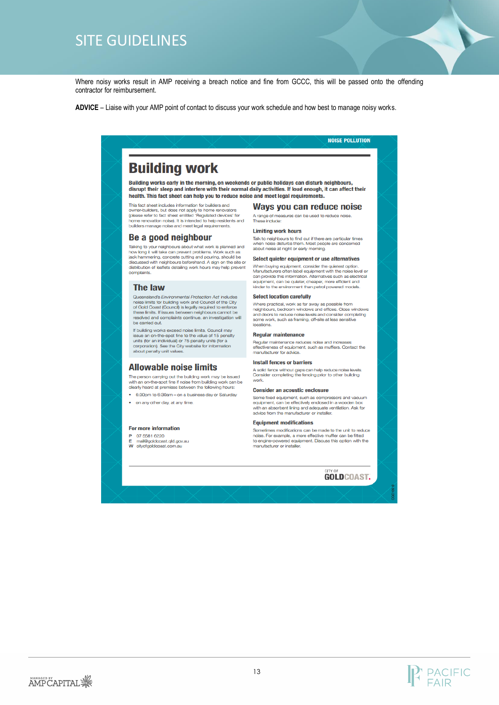Where noisy works result in AMP receiving a breach notice and fine from GCCC, this will be passed onto the offending contractor for reimbursement.

ADVICE – Liaise with your AMP point of contact to discuss your work schedule and how best to manage noisy works.

# **Building work**

Building works early in the morning, on weekends or public holidays can disturb neighbours, disrupt their sleep and interfere with their normal daily activities. If loud enough, it can affect their health. This fact sheet can help you to reduce noise and meet legal requirements.

This fact sheet includes information for builders and owner-builders, but does not apply to home renovators owner-concess, our coes not apply to more removement<br>(please refer to fact sheet entitled 'Regulated devices' for<br>home renovation noise). It is intended to help residents and<br>builders manage noise and meet legal requiremen

#### Be a good neighbour

Talking to your neighbours about what work is planned and how long it will take can prevent problems. Work such as jack hammering, concrete cutting and pouring, should be discussed with neighbours beforehand. A sign on the site or distribution of leaflets detailing work hours may help prevent

#### **The law**

Queensland's Environmental Protection Act includes creasing on the childing work and Council of the City<br>only of Gold Coast (Council) is legally required to enforce<br>of Gold Coast (Council) is legally required to enforce<br>these limits. If issues between neighbours cannot be<br> be carried out.

If building works exceed noise limits. Council may in committed and on-the-spot fine to the value of 15 penalty<br>issue an on-the-spot fine to the value of 15 penalty<br>units (for an individual) or 75 penalty units (for a<br>corporation). See the City website for information about penalty unit values

#### **Allowable noise limits**

The person carrying out the building work may be issued with an on-the-spot fine if noise from building work can be

clearly heard at premises between the following hours: 6:30pm to 6:30am - on a business day or Saturday

. on any other day, at any time.

#### **For more information**

P 07 5581 6220 mail@goldcoast.qld.gov.au W cityofgoldcoast.com

### Ways you can reduce noise

A range of measures can be used to reduce noise.<br>These include:

**NOISE POLLUTION** 

#### **Limiting work hours**

Talk to neighbours to find out if there are particular times when noise disturbs them. Most people are concerned about noise at night or early morning.

#### Select quieter equipment or use alternatives

When buying equipment, consider the quietest option.<br>Manufacturers often label equipment with the noise level or can provide this information. Alternatives such as electrical equipment, can be quieter, cheaper, more efficient and<br>kinder to the environment than petrol powered models.

#### **Select location carefully**

Where practical, work as far away as possible from neighbours, bedroom windows and offices. Close windows rang noons, pearcorn windows and offices. Close windows<br>and doors to reduce noise levels and consider completing<br>some work, such as framing, off-site at less sensitive<br>locations.

#### **Regular maintenance**

Regular maintenance reduces noise and incre ctiveness of equipment, such as mufflers. Contact the manufacturer for advice.

#### **Install fences or barriers**

A solid fence without gaps can help reduce noise levels<br>Consider completing the fencing prior to other building work.

#### **Consider an acoustic enclosure**

Some fixed equipment, such as compressors and vacuum<br>equipment, can be effectively enclosed in a wooden box with an absorbent lining and adequate ventilation. Ask for<br>advice from the manufacturer or installer.

#### **Equipment modifications**

...<br>Sometimes modifications can be made to the unit to reduce<br>noise. For example, a more effective muffler can be fitted to engine-powered equipment. Discuss this option with the manufacturer or installer

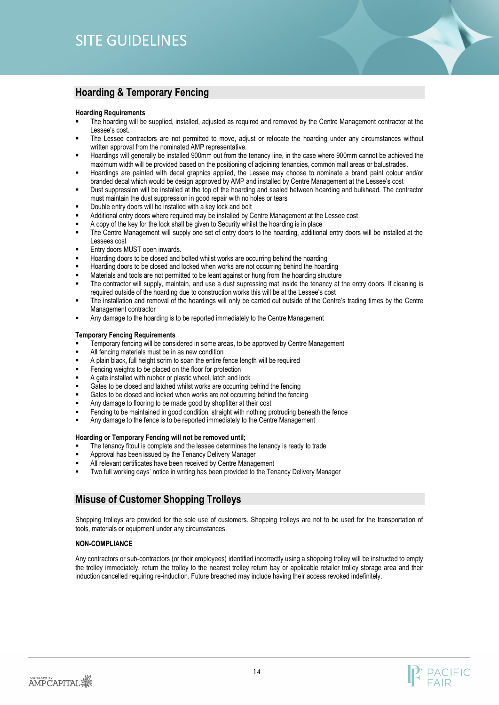# <span id="page-13-0"></span>**Hoarding & Temporary Fencing**

#### **Hoarding Requirements**

- The hoarding will be supplied, installed, adjusted as required and removed by the Centre Management contractor at the Lessee's cost.
- The Lessee contractors are not permitted to move, adjust or relocate the hoarding under any circumstances without written approval from the nominated AMP representative.
- Hoardings will generally be installed 900mm out from the tenancy line, in the case where 900mm cannot be achieved the maximum width will be provided based on the positioning of adjoining tenancies, common mall areas or balustrades.
- Hoardings are painted with decal graphics applied, the Lessee may choose to nominate a brand paint colour and/or branded decal which would be design approved by AMP and installed by Centre Management at the Lessee's cost
- Dust suppression will be installed at the top of the hoarding and sealed between hoarding and bulkhead. The contractor must maintain the dust suppression in good repair with no holes or tears
- Double entry doors will be installed with a key lock and bolt
- Additional entry doors where required may be installed by Centre Management at the Lessee cost
- A copy of the key for the lock shall be given to Security whilst the hoarding is in place
- The Centre Management will supply one set of entry doors to the hoarding, additional entry doors will be installed at the Lessees cost
- Entry doors MUST open inwards.
- Hoarding doors to be closed and bolted whilst works are occurring behind the hoarding
- Hoarding doors to be closed and locked when works are not occurring behind the hoarding
- Materials and tools are not permitted to be leant against or hung from the hoarding structure
- The contractor will supply, maintain, and use a dust supressing mat inside the tenancy at the entry doors. If cleaning is required outside of the hoarding due to construction works this will be at the Lessee's cost
- The installation and removal of the hoardings will only be carried out outside of the Centre's trading times by the Centre Management contractor
- Any damage to the hoarding is to be reported immediately to the Centre Management

#### **Temporary Fencing Requirements**

- Temporary fencing will be considered in some areas, to be approved by Centre Management
- All fencing materials must be in as new condition
- A plain black, full height scrim to span the entire fence length will be required
- Fencing weights to be placed on the floor for protection
- A gate installed with rubber or plastic wheel, latch and lock
- Gates to be closed and latched whilst works are occurring behind the fencing
- Gates to be closed and locked when works are not occurring behind the fencing
- Any damage to flooring to be made good by shopfitter at their cost
- Fencing to be maintained in good condition, straight with nothing protruding beneath the fence
- Any damage to the fence is to be reported immediately to the Centre Management

#### **Hoarding or Temporary Fencing will not be removed until;**

- The tenancy fitout is complete and the lessee determines the tenancy is ready to trade
- Approval has been issued by the Tenancy Delivery Manager
- All relevant certificates have been received by Centre Management
- Two full working days' notice in writing has been provided to the Tenancy Delivery Manager

### <span id="page-13-1"></span>**Misuse of Customer Shopping Trolleys**

Shopping trolleys are provided for the sole use of customers. Shopping trolleys are not to be used for the transportation of tools, materials or equipment under any circumstances.

#### **NON-COMPLIANCE**

Any contractors or sub-contractors (or their employees) identified incorrectly using a shopping trolley will be instructed to empty the trolley immediately, return the trolley to the nearest trolley return bay or applicable retailer trolley storage area and their induction cancelled requiring re-induction. Future breached may include having their access revoked indefinitely.

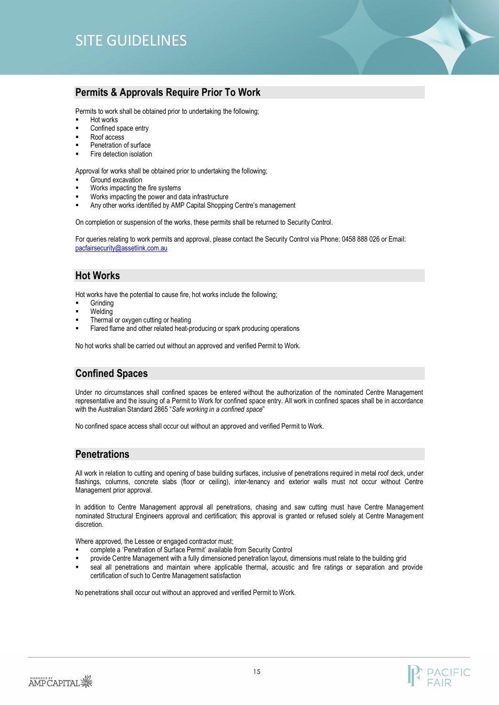# <span id="page-14-0"></span>**Permits & Approvals Require Prior To Work**

Permits to work shall be obtained prior to undertaking the following;

- Hot works
- Confined space entry
- Roof access
- Penetration of surface
- **Fire detection isolation**

Approval for works shall be obtained prior to undertaking the following;

- Ground excavation
- Works impacting the fire systems
- Works impacting the power and data infrastructure
- Any other works identified by AMP Capital Shopping Centre's management

On completion or suspension of the works, these permits shall be returned to Security Control.

For queries relating to work permits and approval, please contact the Security Control via Phone: 0458 888 026 or Email: [pacfairsecurity@assetlink.com.au](mailto:pacfairsecurity@assetlink.com.au)

# <span id="page-14-1"></span>**Hot Works**

Hot works have the potential to cause fire, hot works include the following;

- **Grinding**
- Welding
- Thermal or oxygen cutting or heating
- Flared flame and other related heat-producing or spark producing operations

No hot works shall be carried out without an approved and verified Permit to Work.

# <span id="page-14-2"></span>**Confined Spaces**

Under no circumstances shall confined spaces be entered without the authorization of the nominated Centre Management representative and the issuing of a Permit to Work for confined space entry. All work in confined spaces shall be in accordance with the Australian Standard 2865 "*Safe working in a confined space*"

No confined space access shall occur out without an approved and verified Permit to Work.

### <span id="page-14-3"></span>**Penetrations**

All work in relation to cutting and opening of base building surfaces, inclusive of penetrations required in metal roof deck, under flashings, columns, concrete slabs (floor or ceiling), inter-tenancy and exterior walls must not occur without Centre Management prior approval.

In addition to Centre Management approval all penetrations, chasing and saw cutting must have Centre Management nominated Structural Engineers approval and certification; this approval is granted or refused solely at Centre Management discretion.

Where approved, the Lessee or engaged contractor must;

- complete a 'Penetration of Surface Permit' available from Security Control
- provide Centre Management with a fully dimensioned penetration layout, dimensions must relate to the building grid
- seal all penetrations and maintain where applicable thermal, acoustic and fire ratings or separation and provide certification of such to Centre Management satisfaction

No penetrations shall occur out without an approved and verified Permit to Work.

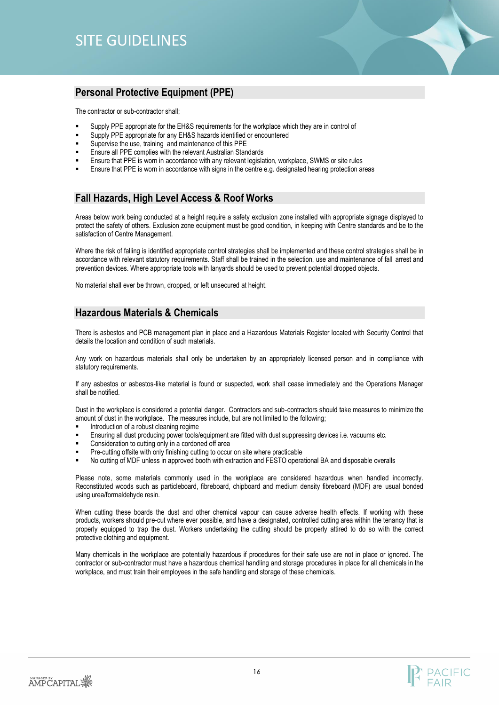

# <span id="page-15-0"></span>**Personal Protective Equipment (PPE)**

The contractor or sub-contractor shall;

- Supply PPE appropriate for the EH&S requirements for the workplace which they are in control of
- Supply PPE appropriate for any EH&S hazards identified or encountered
- Supervise the use, training and maintenance of this PPE
- Ensure all PPE complies with the relevant Australian Standards
- Ensure that PPE is worn in accordance with any relevant legislation, workplace, SWMS or site rules
- Ensure that PPE is worn in accordance with signs in the centre e.g. designated hearing protection areas

# <span id="page-15-1"></span>**Fall Hazards, High Level Access & Roof Works**

Areas below work being conducted at a height require a safety exclusion zone installed with appropriate signage displayed to protect the safety of others. Exclusion zone equipment must be good condition, in keeping with Centre standards and be to the satisfaction of Centre Management.

Where the risk of falling is identified appropriate control strategies shall be implemented and these control strategies shall be in accordance with relevant statutory requirements. Staff shall be trained in the selection, use and maintenance of fall arrest and prevention devices. Where appropriate tools with lanyards should be used to prevent potential dropped objects.

No material shall ever be thrown, dropped, or left unsecured at height.

### <span id="page-15-2"></span>**Hazardous Materials & Chemicals**

There is asbestos and PCB management plan in place and a Hazardous Materials Register located with Security Control that details the location and condition of such materials.

Any work on hazardous materials shall only be undertaken by an appropriately licensed person and in compliance with statutory requirements.

If any asbestos or asbestos-like material is found or suspected, work shall cease immediately and the Operations Manager shall be notified.

Dust in the workplace is considered a potential danger. Contractors and sub-contractors should take measures to minimize the amount of dust in the workplace. The measures include, but are not limited to the following;

- Introduction of a robust cleaning regime
- Ensuring all dust producing power tools/equipment are fitted with dust suppressing devices i.e. vacuums etc.
- Consideration to cutting only in a cordoned off area
- Pre-cutting offsite with only finishing cutting to occur on site where practicable
- No cutting of MDF unless in approved booth with extraction and FESTO operational BA and disposable overalls

Please note, some materials commonly used in the workplace are considered hazardous when handled incorrectly. Reconstituted woods such as particleboard, fibreboard, chipboard and medium density fibreboard (MDF) are usual bonded using urea/formaldehyde resin.

When cutting these boards the dust and other chemical vapour can cause adverse health effects. If working with these products, workers should pre-cut where ever possible, and have a designated, controlled cutting area within the tenancy that is properly equipped to trap the dust. Workers undertaking the cutting should be properly attired to do so with the correct protective clothing and equipment.

Many chemicals in the workplace are potentially hazardous if procedures for their safe use are not in place or ignored. The contractor or sub-contractor must have a hazardous chemical handling and storage procedures in place for all chemicals in the workplace, and must train their employees in the safe handling and storage of these chemicals.

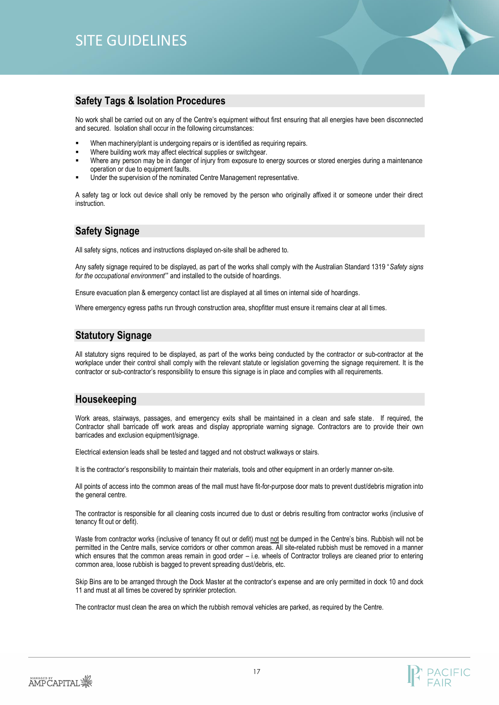### <span id="page-16-0"></span>**Safety Tags & Isolation Procedures**

No work shall be carried out on any of the Centre's equipment without first ensuring that all energies have been disconnected and secured. Isolation shall occur in the following circumstances:

- When machinery/plant is undergoing repairs or is identified as requiring repairs.
- Where building work may affect electrical supplies or switchgear.
- Where any person may be in danger of injury from exposure to energy sources or stored energies during a maintenance operation or due to equipment faults.
- Under the supervision of the nominated Centre Management representative.

A safety tag or lock out device shall only be removed by the person who originally affixed it or someone under their direct instruction.

# <span id="page-16-1"></span>**Safety Signage**

All safety signs, notices and instructions displayed on-site shall be adhered to.

Any safety signage required to be displayed, as part of the works shall comply with the Australian Standard 1319 "*Safety signs for the occupational environment*'" and installed to the outside of hoardings.

Ensure evacuation plan & emergency contact list are displayed at all times on internal side of hoardings.

Where emergency egress paths run through construction area, shopfitter must ensure it remains clear at all times.

# <span id="page-16-2"></span>**Statutory Signage**

All statutory signs required to be displayed, as part of the works being conducted by the contractor or sub-contractor at the workplace under their control shall comply with the relevant statute or legislation governing the signage requirement. It is the contractor or sub-contractor's responsibility to ensure this signage is in place and complies with all requirements.

# <span id="page-16-3"></span>**Housekeeping**

Work areas, stairways, passages, and emergency exits shall be maintained in a clean and safe state. If required, the Contractor shall barricade off work areas and display appropriate warning signage. Contractors are to provide their own barricades and exclusion equipment/signage.

Electrical extension leads shall be tested and tagged and not obstruct walkways or stairs.

It is the contractor's responsibility to maintain their materials, tools and other equipment in an orderly manner on-site.

All points of access into the common areas of the mall must have fit-for-purpose door mats to prevent dust/debris migration into the general centre.

The contractor is responsible for all cleaning costs incurred due to dust or debris resulting from contractor works (inclusive of tenancy fit out or defit).

Waste from contractor works (inclusive of tenancy fit out or defit) must not be dumped in the Centre's bins. Rubbish will not be permitted in the Centre malls, service corridors or other common areas. All site-related rubbish must be removed in a manner which ensures that the common areas remain in good order – i.e. wheels of Contractor trolleys are cleaned prior to entering common area, loose rubbish is bagged to prevent spreading dust/debris, etc.

Skip Bins are to be arranged through the Dock Master at the contractor's expense and are only permitted in dock 10 and dock 11 and must at all times be covered by sprinkler protection.

The contractor must clean the area on which the rubbish removal vehicles are parked, as required by the Centre.

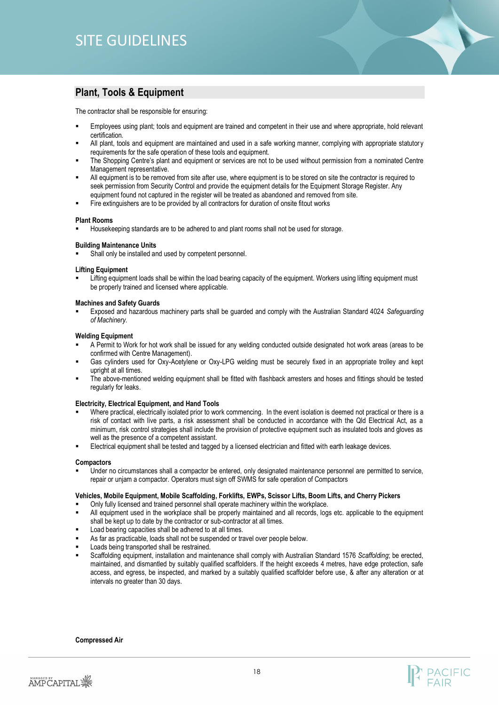# <span id="page-17-0"></span>**Plant, Tools & Equipment**

The contractor shall be responsible for ensuring:

- Employees using plant; tools and equipment are trained and competent in their use and where appropriate, hold relevant certification.
- All plant, tools and equipment are maintained and used in a safe working manner, complying with appropriate statutory requirements for the safe operation of these tools and equipment.
- The Shopping Centre's plant and equipment or services are not to be used without permission from a nominated Centre Management representative.
- All equipment is to be removed from site after use, where equipment is to be stored on site the contractor is required to seek permission from Security Control and provide the equipment details for the Equipment Storage Register. Any equipment found not captured in the register will be treated as abandoned and removed from site.
- Fire extinguishers are to be provided by all contractors for duration of onsite fitout works

#### **Plant Rooms**

Housekeeping standards are to be adhered to and plant rooms shall not be used for storage.

#### **Building Maintenance Units**

Shall only be installed and used by competent personnel.

#### **Lifting Equipment**

Lifting equipment loads shall be within the load bearing capacity of the equipment. Workers using lifting equipment must be properly trained and licensed where applicable.

#### **Machines and Safety Guards**

▪ Exposed and hazardous machinery parts shall be guarded and comply with the Australian Standard 4024 *Safeguarding of Machinery.*

#### **Welding Equipment**

- A Permit to Work for hot work shall be issued for any welding conducted outside designated hot work areas (areas to be confirmed with Centre Management).
- Gas cylinders used for Oxy-Acetylene or Oxy-LPG welding must be securely fixed in an appropriate trolley and kept upright at all times.
- The above-mentioned welding equipment shall be fitted with flashback arresters and hoses and fittings should be tested regularly for leaks.

#### **Electricity, Electrical Equipment, and Hand Tools**

- Where practical, electrically isolated prior to work commencing. In the event isolation is deemed not practical or there is a risk of contact with live parts, a risk assessment shall be conducted in accordance with the Qld Electrical Act, as a minimum, risk control strategies shall include the provision of protective equipment such as insulated tools and gloves as well as the presence of a competent assistant.
- Electrical equipment shall be tested and tagged by a licensed electrician and fitted with earth leakage devices.

#### **Compactors**

Under no circumstances shall a compactor be entered, only designated maintenance personnel are permitted to service, repair or unjam a compactor. Operators must sign off SWMS for safe operation of Compactors

#### **Vehicles, Mobile Equipment, Mobile Scaffolding, Forklifts, EWPs, Scissor Lifts, Boom Lifts, and Cherry Pickers**

- Only fully licensed and trained personnel shall operate machinery within the workplace.
- All equipment used in the workplace shall be properly maintained and all records, logs etc. applicable to the equipment shall be kept up to date by the contractor or sub-contractor at all times.
- Load bearing capacities shall be adhered to at all times.
- As far as practicable, loads shall not be suspended or travel over people below.
- Loads being transported shall be restrained.
- Scaffolding equipment, installation and maintenance shall comply with Australian Standard 1576 *Scaffolding*; be erected, maintained, and dismantled by suitably qualified scaffolders. If the height exceeds 4 metres, have edge protection, safe access, and egress, be inspected, and marked by a suitably qualified scaffolder before use, & after any alteration or at intervals no greater than 30 days.

#### **Compressed Air**

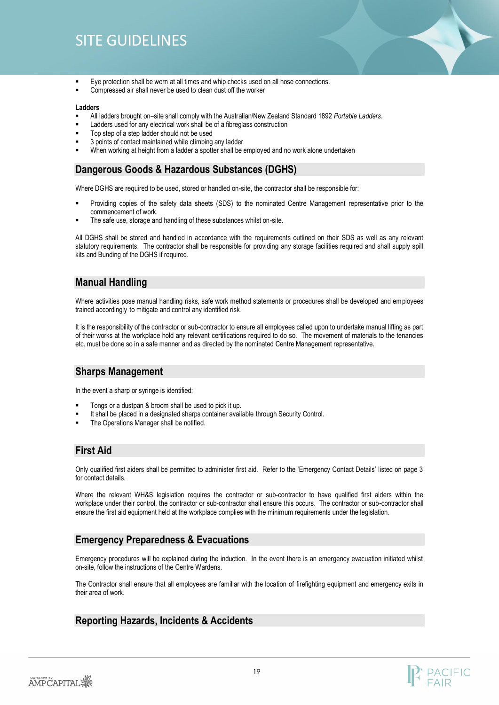- Eye protection shall be worn at all times and whip checks used on all hose connections.
- Compressed air shall never be used to clean dust off the worker

#### **Ladders**

- All ladders brought on–site shall comply with the Australian/New Zealand Standard 1892 *Portable Ladders*.
- Ladders used for any electrical work shall be of a fibreglass construction
- Top step of a step ladder should not be used
- 3 points of contact maintained while climbing any ladder
- When working at height from a ladder a spotter shall be employed and no work alone undertaken

### <span id="page-18-0"></span>**Dangerous Goods & Hazardous Substances (DGHS)**

Where DGHS are required to be used, stored or handled on-site, the contractor shall be responsible for:

- Providing copies of the safety data sheets (SDS) to the nominated Centre Management representative prior to the commencement of work.
- The safe use, storage and handling of these substances whilst on-site.

All DGHS shall be stored and handled in accordance with the requirements outlined on their SDS as well as any relevant statutory requirements. The contractor shall be responsible for providing any storage facilities required and shall supply spill kits and Bunding of the DGHS if required.

# <span id="page-18-1"></span>**Manual Handling**

Where activities pose manual handling risks, safe work method statements or procedures shall be developed and employees trained accordingly to mitigate and control any identified risk.

It is the responsibility of the contractor or sub-contractor to ensure all employees called upon to undertake manual lifting as part of their works at the workplace hold any relevant certifications required to do so. The movement of materials to the tenancies etc. must be done so in a safe manner and as directed by the nominated Centre Management representative.

### <span id="page-18-2"></span>**Sharps Management**

In the event a sharp or syringe is identified:

- Tongs or a dustpan & broom shall be used to pick it up.
- It shall be placed in a designated sharps container available through Security Control.
- The Operations Manager shall be notified.

### <span id="page-18-3"></span>**First Aid**

Only qualified first aiders shall be permitted to administer first aid. Refer to the 'Emergency Contact Details' listed on page 3 for contact details.

Where the relevant WH&S legislation requires the contractor or sub-contractor to have qualified first aiders within the workplace under their control, the contractor or sub-contractor shall ensure this occurs. The contractor or sub-contractor shall ensure the first aid equipment held at the workplace complies with the minimum requirements under the legislation.

### <span id="page-18-4"></span>**Emergency Preparedness & Evacuations**

Emergency procedures will be explained during the induction. In the event there is an emergency evacuation initiated whilst on-site, follow the instructions of the Centre Wardens.

The Contractor shall ensure that all employees are familiar with the location of firefighting equipment and emergency exits in their area of work.

# <span id="page-18-5"></span>**Reporting Hazards, Incidents & Accidents**